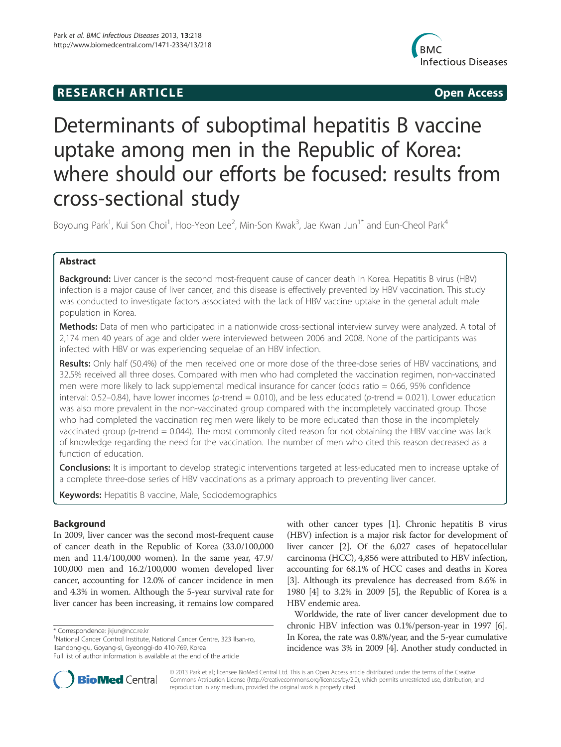## **RESEARCH ARTICLE Example 2018 12:00 Open Access**



# Determinants of suboptimal hepatitis B vaccine uptake among men in the Republic of Korea: where should our efforts be focused: results from cross-sectional study

Boyoung Park<sup>1</sup>, Kui Son Choi<sup>1</sup>, Hoo-Yeon Lee<sup>2</sup>, Min-Son Kwak<sup>3</sup>, Jae Kwan Jun<sup>1\*</sup> and Eun-Cheol Park<sup>4</sup>

## Abstract

Background: Liver cancer is the second most-frequent cause of cancer death in Korea. Hepatitis B virus (HBV) infection is a major cause of liver cancer, and this disease is effectively prevented by HBV vaccination. This study was conducted to investigate factors associated with the lack of HBV vaccine uptake in the general adult male population in Korea.

Methods: Data of men who participated in a nationwide cross-sectional interview survey were analyzed. A total of 2,174 men 40 years of age and older were interviewed between 2006 and 2008. None of the participants was infected with HBV or was experiencing sequelae of an HBV infection.

Results: Only half (50.4%) of the men received one or more dose of the three-dose series of HBV vaccinations, and 32.5% received all three doses. Compared with men who had completed the vaccination regimen, non-vaccinated men were more likely to lack supplemental medical insurance for cancer (odds ratio  $= 0.66$ , 95% confidence interval: 0.52–0.84), have lower incomes (p-trend = 0.010), and be less educated (p-trend = 0.021). Lower education was also more prevalent in the non-vaccinated group compared with the incompletely vaccinated group. Those who had completed the vaccination regimen were likely to be more educated than those in the incompletely vaccinated group ( $p$ -trend = 0.044). The most commonly cited reason for not obtaining the HBV vaccine was lack of knowledge regarding the need for the vaccination. The number of men who cited this reason decreased as a function of education.

**Conclusions:** It is important to develop strategic interventions targeted at less-educated men to increase uptake of a complete three-dose series of HBV vaccinations as a primary approach to preventing liver cancer.

Keywords: Hepatitis B vaccine, Male, Sociodemographics

## Background

In 2009, liver cancer was the second most-frequent cause of cancer death in the Republic of Korea (33.0/100,000 men and 11.4/100,000 women). In the same year, 47.9/ 100,000 men and 16.2/100,000 women developed liver cancer, accounting for 12.0% of cancer incidence in men and 4.3% in women. Although the 5-year survival rate for liver cancer has been increasing, it remains low compared



Worldwide, the rate of liver cancer development due to chronic HBV infection was 0.1%/person-year in 1997 [6]. In Korea, the rate was 0.8%/year, and the 5-year cumulative incidence was 3% in 2009 [4]. Another study conducted in



© 2013 Park et al.; licensee BioMed Central Ltd. This is an Open Access article distributed under the terms of the Creative Commons Attribution License (http://creativecommons.org/licenses/by/2.0), which permits unrestricted use, distribution, and reproduction in any medium, provided the original work is properly cited.

<sup>\*</sup> Correspondence: jkjun@ncc.re.kr <sup>1</sup>

<sup>&</sup>lt;sup>1</sup>National Cancer Control Institute, National Cancer Centre, 323 Ilsan-ro, Ilsandong-gu, Goyang-si, Gyeonggi-do 410-769, Korea

Full list of author information is available at the end of the article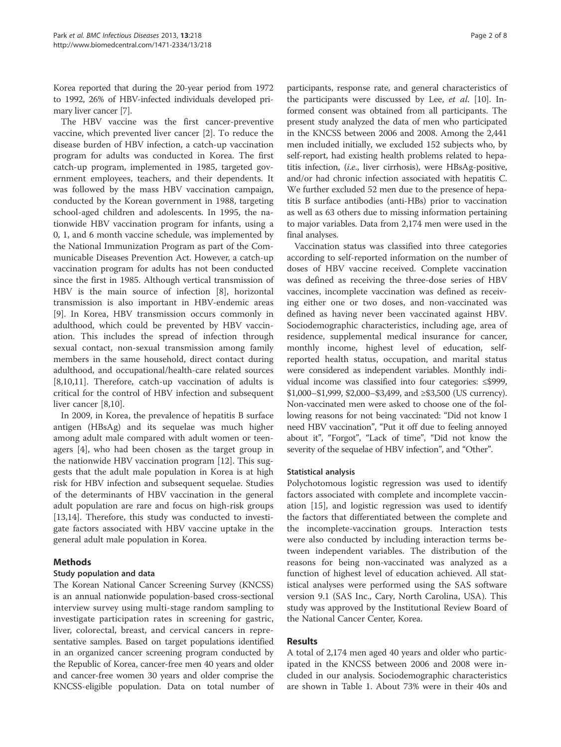Korea reported that during the 20-year period from 1972 to 1992, 26% of HBV-infected individuals developed primary liver cancer [7].

The HBV vaccine was the first cancer-preventive vaccine, which prevented liver cancer [2]. To reduce the disease burden of HBV infection, a catch-up vaccination program for adults was conducted in Korea. The first catch-up program, implemented in 1985, targeted government employees, teachers, and their dependents. It was followed by the mass HBV vaccination campaign, conducted by the Korean government in 1988, targeting school-aged children and adolescents. In 1995, the nationwide HBV vaccination program for infants, using a 0, 1, and 6 month vaccine schedule, was implemented by the National Immunization Program as part of the Communicable Diseases Prevention Act. However, a catch-up vaccination program for adults has not been conducted since the first in 1985. Although vertical transmission of HBV is the main source of infection [8], horizontal transmission is also important in HBV-endemic areas [9]. In Korea, HBV transmission occurs commonly in adulthood, which could be prevented by HBV vaccination. This includes the spread of infection through sexual contact, non-sexual transmission among family members in the same household, direct contact during adulthood, and occupational/health-care related sources [8,10,11]. Therefore, catch-up vaccination of adults is critical for the control of HBV infection and subsequent liver cancer [8,10].

In 2009, in Korea, the prevalence of hepatitis B surface antigen (HBsAg) and its sequelae was much higher among adult male compared with adult women or teenagers [4], who had been chosen as the target group in the nationwide HBV vaccination program [12]. This suggests that the adult male population in Korea is at high risk for HBV infection and subsequent sequelae. Studies of the determinants of HBV vaccination in the general adult population are rare and focus on high-risk groups [13,14]. Therefore, this study was conducted to investigate factors associated with HBV vaccine uptake in the general adult male population in Korea.

## Methods

## Study population and data

The Korean National Cancer Screening Survey (KNCSS) is an annual nationwide population-based cross-sectional interview survey using multi-stage random sampling to investigate participation rates in screening for gastric, liver, colorectal, breast, and cervical cancers in representative samples. Based on target populations identified in an organized cancer screening program conducted by the Republic of Korea, cancer-free men 40 years and older and cancer-free women 30 years and older comprise the KNCSS-eligible population. Data on total number of

participants, response rate, and general characteristics of the participants were discussed by Lee, et al. [10]. Informed consent was obtained from all participants. The present study analyzed the data of men who participated in the KNCSS between 2006 and 2008. Among the 2,441 men included initially, we excluded 152 subjects who, by self-report, had existing health problems related to hepatitis infection, (i.e., liver cirrhosis), were HBsAg-positive, and/or had chronic infection associated with hepatitis C. We further excluded 52 men due to the presence of hepatitis B surface antibodies (anti-HBs) prior to vaccination as well as 63 others due to missing information pertaining to major variables. Data from 2,174 men were used in the final analyses.

Vaccination status was classified into three categories according to self-reported information on the number of doses of HBV vaccine received. Complete vaccination was defined as receiving the three-dose series of HBV vaccines, incomplete vaccination was defined as receiving either one or two doses, and non-vaccinated was defined as having never been vaccinated against HBV. Sociodemographic characteristics, including age, area of residence, supplemental medical insurance for cancer, monthly income, highest level of education, selfreported health status, occupation, and marital status were considered as independent variables. Monthly individual income was classified into four categories: ≤\$999, \$1,000–\$1,999, \$2,000–\$3,499, and ≥\$3,500 (US currency). Non-vaccinated men were asked to choose one of the following reasons for not being vaccinated: "Did not know I need HBV vaccination", "Put it off due to feeling annoyed about it", "Forgot", "Lack of time", "Did not know the severity of the sequelae of HBV infection", and "Other".

#### Statistical analysis

Polychotomous logistic regression was used to identify factors associated with complete and incomplete vaccination [15], and logistic regression was used to identify the factors that differentiated between the complete and the incomplete-vaccination groups. Interaction tests were also conducted by including interaction terms between independent variables. The distribution of the reasons for being non-vaccinated was analyzed as a function of highest level of education achieved. All statistical analyses were performed using the SAS software version 9.1 (SAS Inc., Cary, North Carolina, USA). This study was approved by the Institutional Review Board of the National Cancer Center, Korea.

## Results

A total of 2,174 men aged 40 years and older who participated in the KNCSS between 2006 and 2008 were included in our analysis. Sociodemographic characteristics are shown in Table 1. About 73% were in their 40s and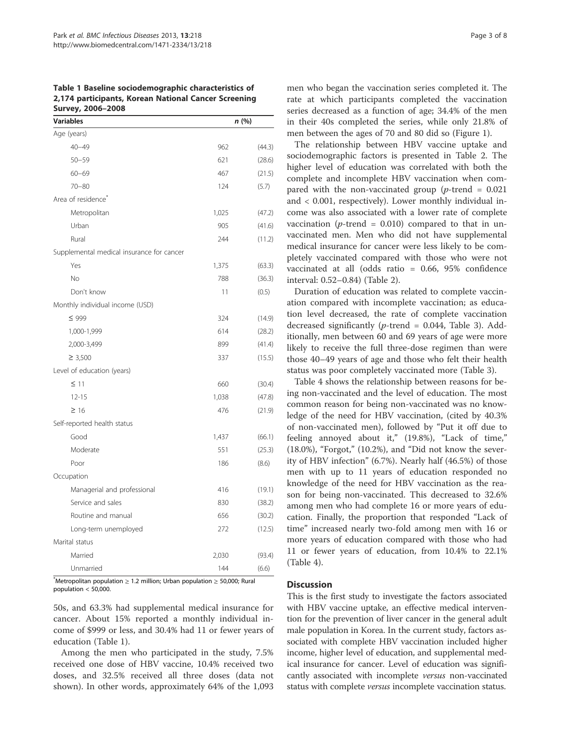Table 1 Baseline sociodemographic characteristics of 2,174 participants, Korean National Cancer Screening Survey, 2006–2008

| <b>Variables</b>                          |       | n (%)  |
|-------------------------------------------|-------|--------|
| Age (years)                               |       |        |
| $40 - 49$                                 | 962   | (44.3) |
| $50 - 59$                                 | 621   | (28.6) |
| $60 - 69$                                 | 467   | (21.5) |
| $70 - 80$                                 | 124   | (5.7)  |
| Area of residence <sup>®</sup>            |       |        |
| Metropolitan                              | 1,025 | (47.2) |
| Urban                                     | 905   | (41.6) |
| Rural                                     | 244   | (11.2) |
| Supplemental medical insurance for cancer |       |        |
| Yes                                       | 1,375 | (63.3) |
| No                                        | 788   | (36.3) |
| Don't know                                | 11    | (0.5)  |
| Monthly individual income (USD)           |       |        |
| $\leq 999$                                | 324   | (14.9) |
| 1,000-1,999                               | 614   | (28.2) |
| 2,000-3,499                               | 899   | (41.4) |
| $\geq 3,500$                              | 337   | (15.5) |
| Level of education (years)                |       |        |
| $\leq$ 11                                 | 660   | (30.4) |
| $12 - 15$                                 | 1,038 | (47.8) |
| $\geq 16$                                 | 476   | (21.9) |
| Self-reported health status               |       |        |
| Good                                      | 1,437 | (66.1) |
| Moderate                                  | 551   | (25.3) |
| Poor                                      | 186   | (8.6)  |
| Occupation                                |       |        |
| Managerial and professional               | 416   | (19.1) |
| Service and sales                         | 830   | (38.2) |
| Routine and manual                        | 656   | (30.2) |
| Long-term unemployed                      | 272   | (12.5) |
| Marital status                            |       |        |
| Married                                   | 2,030 | (93.4) |
| Unmarried                                 | 144   | (6.6)  |

\* Metropolitan population ≥ 1.2 million; Urban population ≥ 50,000; Rural population < 50,000.

50s, and 63.3% had supplemental medical insurance for cancer. About 15% reported a monthly individual income of \$999 or less, and 30.4% had 11 or fewer years of education (Table 1).

Among the men who participated in the study, 7.5% received one dose of HBV vaccine, 10.4% received two doses, and 32.5% received all three doses (data not shown). In other words, approximately 64% of the 1,093

men who began the vaccination series completed it. The rate at which participants completed the vaccination series decreased as a function of age; 34.4% of the men in their 40s completed the series, while only 21.8% of men between the ages of 70 and 80 did so (Figure 1).

The relationship between HBV vaccine uptake and sociodemographic factors is presented in Table 2. The higher level of education was correlated with both the complete and incomplete HBV vaccination when compared with the non-vaccinated group ( $p$ -trend = 0.021 and < 0.001, respectively). Lower monthly individual income was also associated with a lower rate of complete vaccination (*p*-trend =  $0.010$ ) compared to that in unvaccinated men. Men who did not have supplemental medical insurance for cancer were less likely to be completely vaccinated compared with those who were not vaccinated at all (odds ratio = 0.66, 95% confidence interval: 0.52–0.84) (Table 2).

Duration of education was related to complete vaccination compared with incomplete vaccination; as education level decreased, the rate of complete vaccination decreased significantly ( $p$ -trend = 0.044, Table 3). Additionally, men between 60 and 69 years of age were more likely to receive the full three-dose regimen than were those 40–49 years of age and those who felt their health status was poor completely vaccinated more (Table 3).

Table 4 shows the relationship between reasons for being non-vaccinated and the level of education. The most common reason for being non-vaccinated was no knowledge of the need for HBV vaccination, (cited by 40.3% of non-vaccinated men), followed by "Put it off due to feeling annoyed about it," (19.8%), "Lack of time," (18.0%), "Forgot," (10.2%), and "Did not know the severity of HBV infection" (6.7%). Nearly half (46.5%) of those men with up to 11 years of education responded no knowledge of the need for HBV vaccination as the reason for being non-vaccinated. This decreased to 32.6% among men who had complete 16 or more years of education. Finally, the proportion that responded "Lack of time" increased nearly two-fold among men with 16 or more years of education compared with those who had 11 or fewer years of education, from 10.4% to 22.1% (Table 4).

## **Discussion**

This is the first study to investigate the factors associated with HBV vaccine uptake, an effective medical intervention for the prevention of liver cancer in the general adult male population in Korea. In the current study, factors associated with complete HBV vaccination included higher income, higher level of education, and supplemental medical insurance for cancer. Level of education was significantly associated with incomplete versus non-vaccinated status with complete versus incomplete vaccination status.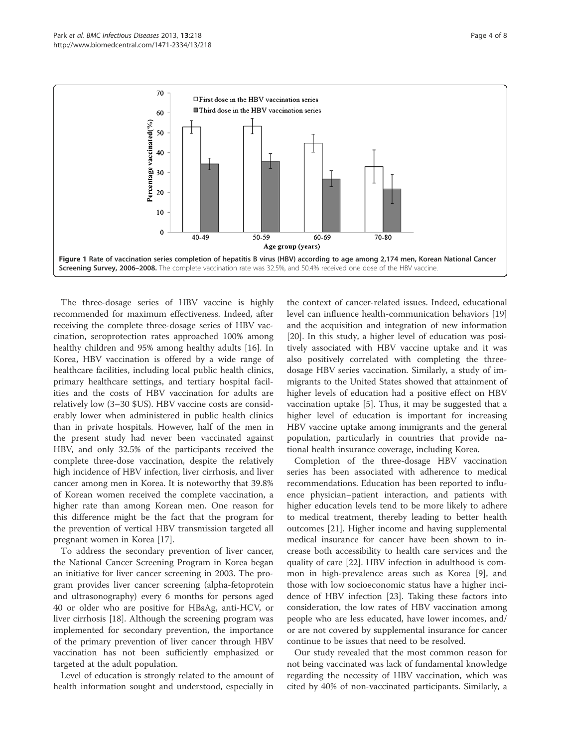

The three-dosage series of HBV vaccine is highly recommended for maximum effectiveness. Indeed, after receiving the complete three-dosage series of HBV vaccination, seroprotection rates approached 100% among healthy children and 95% among healthy adults [16]. In Korea, HBV vaccination is offered by a wide range of healthcare facilities, including local public health clinics, primary healthcare settings, and tertiary hospital facilities and the costs of HBV vaccination for adults are relatively low (3–30 \$US). HBV vaccine costs are considerably lower when administered in public health clinics than in private hospitals. However, half of the men in the present study had never been vaccinated against HBV, and only 32.5% of the participants received the complete three-dose vaccination, despite the relatively high incidence of HBV infection, liver cirrhosis, and liver cancer among men in Korea. It is noteworthy that 39.8% of Korean women received the complete vaccination, a higher rate than among Korean men. One reason for this difference might be the fact that the program for the prevention of vertical HBV transmission targeted all pregnant women in Korea [17].

To address the secondary prevention of liver cancer, the National Cancer Screening Program in Korea began an initiative for liver cancer screening in 2003. The program provides liver cancer screening (alpha-fetoprotein and ultrasonography) every 6 months for persons aged 40 or older who are positive for HBsAg, anti-HCV, or liver cirrhosis [18]. Although the screening program was implemented for secondary prevention, the importance of the primary prevention of liver cancer through HBV vaccination has not been sufficiently emphasized or targeted at the adult population.

Level of education is strongly related to the amount of health information sought and understood, especially in

the context of cancer-related issues. Indeed, educational level can influence health-communication behaviors [19] and the acquisition and integration of new information [20]. In this study, a higher level of education was positively associated with HBV vaccine uptake and it was also positively correlated with completing the threedosage HBV series vaccination. Similarly, a study of immigrants to the United States showed that attainment of higher levels of education had a positive effect on HBV vaccination uptake [5]. Thus, it may be suggested that a higher level of education is important for increasing HBV vaccine uptake among immigrants and the general population, particularly in countries that provide national health insurance coverage, including Korea.

Completion of the three-dosage HBV vaccination series has been associated with adherence to medical recommendations. Education has been reported to influence physician–patient interaction, and patients with higher education levels tend to be more likely to adhere to medical treatment, thereby leading to better health outcomes [21]. Higher income and having supplemental medical insurance for cancer have been shown to increase both accessibility to health care services and the quality of care [22]. HBV infection in adulthood is common in high-prevalence areas such as Korea [9], and those with low socioeconomic status have a higher incidence of HBV infection [23]. Taking these factors into consideration, the low rates of HBV vaccination among people who are less educated, have lower incomes, and/ or are not covered by supplemental insurance for cancer continue to be issues that need to be resolved.

Our study revealed that the most common reason for not being vaccinated was lack of fundamental knowledge regarding the necessity of HBV vaccination, which was cited by 40% of non-vaccinated participants. Similarly, a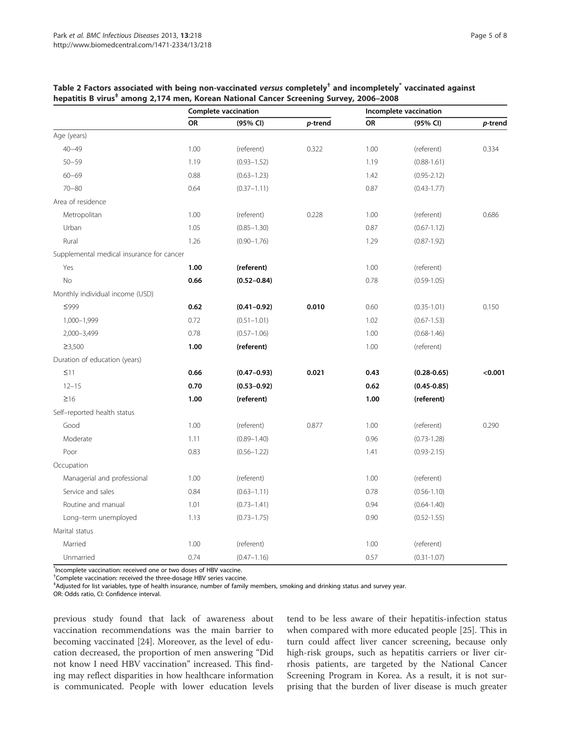|                                           |      | Complete vaccination |         | Incomplete vaccination |                 |         |
|-------------------------------------------|------|----------------------|---------|------------------------|-----------------|---------|
|                                           | OR   | (95% CI)             | p-trend | OR                     | (95% CI)        | p-trend |
| Age (years)                               |      |                      |         |                        |                 |         |
| $40 - 49$                                 | 1.00 | (referent)           | 0.322   | 1.00                   | (referent)      | 0.334   |
| $50 - 59$                                 | 1.19 | $(0.93 - 1.52)$      |         | 1.19                   | $(0.88 - 1.61)$ |         |
| $60 - 69$                                 | 0.88 | $(0.63 - 1.23)$      |         | 1.42                   | $(0.95 - 2.12)$ |         |
| $70 - 80$                                 | 0.64 | $(0.37 - 1.11)$      |         | 0.87                   | $(0.43 - 1.77)$ |         |
| Area of residence                         |      |                      |         |                        |                 |         |
| Metropolitan                              | 1.00 | (referent)           | 0.228   | 1.00                   | (referent)      | 0.686   |
| Urban                                     | 1.05 | $(0.85 - 1.30)$      |         | 0.87                   | $(0.67 - 1.12)$ |         |
| Rural                                     | 1.26 | $(0.90 - 1.76)$      |         | 1.29                   | $(0.87 - 1.92)$ |         |
| Supplemental medical insurance for cancer |      |                      |         |                        |                 |         |
| Yes                                       | 1.00 | (referent)           |         | 1.00                   | (referent)      |         |
| No                                        | 0.66 | $(0.52 - 0.84)$      |         | 0.78                   | $(0.59 - 1.05)$ |         |
| Monthly individual income (USD)           |      |                      |         |                        |                 |         |
| ≤999                                      | 0.62 | $(0.41 - 0.92)$      | 0.010   | 0.60                   | $(0.35 - 1.01)$ | 0.150   |
| 1,000-1,999                               | 0.72 | $(0.51 - 1.01)$      |         | 1.02                   | $(0.67 - 1.53)$ |         |
| 2,000-3,499                               | 0.78 | $(0.57 - 1.06)$      |         | 1.00                   | $(0.68 - 1.46)$ |         |
| $\geq 3,500$                              | 1.00 | (referent)           |         | 1.00                   | (referent)      |         |
| Duration of education (years)             |      |                      |         |                        |                 |         |
| $\leq$ 11                                 | 0.66 | $(0.47 - 0.93)$      | 0.021   | 0.43                   | $(0.28 - 0.65)$ | < 0.001 |
| $12 - 15$                                 | 0.70 | $(0.53 - 0.92)$      |         | 0.62                   | $(0.45 - 0.85)$ |         |
| $\geq 16$                                 | 1.00 | (referent)           |         | 1.00                   | (referent)      |         |
| Self-reported health status               |      |                      |         |                        |                 |         |
| Good                                      | 1.00 | (referent)           | 0.877   | 1.00                   | (referent)      | 0.290   |
| Moderate                                  | 1.11 | $(0.89 - 1.40)$      |         | 0.96                   | $(0.73 - 1.28)$ |         |
| Poor                                      | 0.83 | $(0.56 - 1.22)$      |         | 1.41                   | $(0.93 - 2.15)$ |         |
| Occupation                                |      |                      |         |                        |                 |         |
| Managerial and professional               | 1.00 | (referent)           |         | 1.00                   | (referent)      |         |
| Service and sales                         | 0.84 | $(0.63 - 1.11)$      |         | 0.78                   | $(0.56 - 1.10)$ |         |
| Routine and manual                        | 1.01 | $(0.73 - 1.41)$      |         | 0.94                   | $(0.64 - 1.40)$ |         |
| Long-term unemployed                      | 1.13 | $(0.73 - 1.75)$      |         | 0.90                   | $(0.52 - 1.55)$ |         |
| Marital status                            |      |                      |         |                        |                 |         |
| Married                                   | 1.00 | (referent)           |         | 1.00                   | (referent)      |         |
| Unmarried                                 | 0.74 | $(0.47 - 1.16)$      |         | 0.57                   | $(0.31 - 1.07)$ |         |

## Table 2 Factors associated with being non-vaccinated versus completely† and incompletely\* vaccinated against hepatitis B virus‡ among 2,174 men, Korean National Cancer Screening Survey, 2006–2008

Incomplete vaccination: received one or two doses of HBV vaccine.

† Complete vaccination: received the three-dosage HBV series vaccine.

‡ Adjusted for list variables, type of health insurance, number of family members, smoking and drinking status and survey year.

OR: Odds ratio, CI: Confidence interval.

previous study found that lack of awareness about vaccination recommendations was the main barrier to becoming vaccinated [24]. Moreover, as the level of education decreased, the proportion of men answering "Did not know I need HBV vaccination" increased. This finding may reflect disparities in how healthcare information is communicated. People with lower education levels

tend to be less aware of their hepatitis-infection status when compared with more educated people [25]. This in turn could affect liver cancer screening, because only high-risk groups, such as hepatitis carriers or liver cirrhosis patients, are targeted by the National Cancer Screening Program in Korea. As a result, it is not surprising that the burden of liver disease is much greater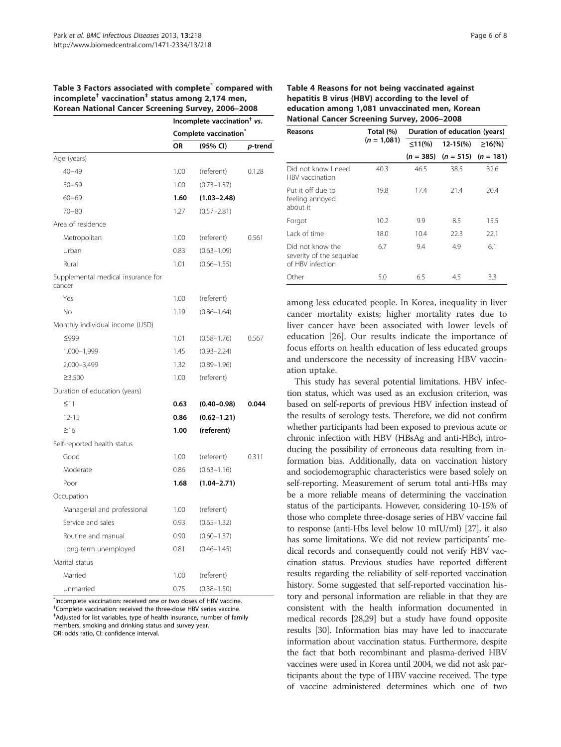#### Table 3 Factors associated with complete\* compared with incomplete<sup>†</sup> vaccination<sup>‡</sup> status among 2,174 men, Korean National Cancer Screening Survey, 2006–2008

|                                              | Incomplete vaccination <sup>†</sup> vs.<br>Complete vaccination <sup>®</sup> |                 |                 |
|----------------------------------------------|------------------------------------------------------------------------------|-----------------|-----------------|
|                                              |                                                                              |                 |                 |
|                                              | OR                                                                           | (95% CI)        | <i>p</i> -trend |
| Age (years)                                  |                                                                              |                 |                 |
| $40 - 49$                                    | 1.00                                                                         | (referent)      | 0.128           |
| $50 - 59$                                    | 1.00                                                                         | $(0.73 - 1.37)$ |                 |
| $60 - 69$                                    | 1.60                                                                         | $(1.03 - 2.48)$ |                 |
| $70 - 80$                                    | 1.27                                                                         | $(0.57 - 2.81)$ |                 |
| Area of residence                            |                                                                              |                 |                 |
| Metropolitan                                 | 1.00                                                                         | (referent)      | 0.561           |
| Urban                                        | 0.83                                                                         | $(0.63 - 1.09)$ |                 |
| Rural                                        | 1.01                                                                         | $(0.66 - 1.55)$ |                 |
| Supplemental medical insurance for<br>cancer |                                                                              |                 |                 |
| Yes                                          | 1.00                                                                         | (referent)      |                 |
| <b>No</b>                                    | 1.19                                                                         | $(0.86 - 1.64)$ |                 |
| Monthly individual income (USD)              |                                                                              |                 |                 |
| ≤999                                         | 1.01                                                                         | $(0.58 - 1.76)$ | 0.567           |
| 1,000-1,999                                  | 1.45                                                                         | $(0.93 - 2.24)$ |                 |
| 2,000-3,499                                  | 1.32                                                                         | $(0.89 - 1.96)$ |                 |
| ≥3,500                                       | 1.00                                                                         | (referent)      |                 |
| Duration of education (years)                |                                                                              |                 |                 |
| $\leq$ 11                                    | 0.63                                                                         | $(0.40 - 0.98)$ | 0.044           |
| $12 - 15$                                    | 0.86                                                                         | $(0.62 - 1.21)$ |                 |
| $\geq$ 16                                    | 1.00                                                                         | (referent)      |                 |
| Self-reported health status                  |                                                                              |                 |                 |
| Good                                         | 1.00                                                                         | (referent)      | 0.311           |
| Moderate                                     | 0.86                                                                         | $(0.63 - 1.16)$ |                 |
| Poor                                         | 1.68                                                                         | $(1.04 - 2.71)$ |                 |
| Occupation                                   |                                                                              |                 |                 |
| Managerial and professional                  | 1.00                                                                         | (referent)      |                 |
| Service and sales                            | 0.93                                                                         | $(0.65 - 1.32)$ |                 |
| Routine and manual                           | 0.90                                                                         | $(0.60 - 1.37)$ |                 |
| Long-term unemployed                         | 0.81                                                                         | $(0.46 - 1.45)$ |                 |
| Marital status                               |                                                                              |                 |                 |
| Married                                      | 1.00                                                                         | (referent)      |                 |
| Unmarried                                    | 0.75                                                                         | $(0.38 - 1.50)$ |                 |

\* Incomplete vaccination: received one or two doses of HBV vaccine. † Complete vaccination: received the three-dose HBV series vaccine. ‡ Adjusted for list variables, type of health insurance, number of family members, smoking and drinking status and survey year. OR: odds ratio, CI: confidence interval.

## Table 4 Reasons for not being vaccinated against hepatitis B virus (HBV) according to the level of education among 1,081 unvaccinated men, Korean National Cancer Screening Survey, 2006–2008

| Reasons                                                          | Total (%)<br>$(n = 1,081)$ | Duration of education (years) |                                     |        |  |
|------------------------------------------------------------------|----------------------------|-------------------------------|-------------------------------------|--------|--|
|                                                                  |                            | $\leq$ 11(%)                  | $12 - 15\frac{6}{6}$                | >16(%) |  |
|                                                                  |                            |                               | $(n = 385)$ $(n = 515)$ $(n = 181)$ |        |  |
| Did not know I need<br>HBV vaccination                           | 40.3                       | 46.5                          | 38.5                                | 32.6   |  |
| Put it off due to<br>feeling annoyed<br>about it                 | 19.8                       | 17.4                          | 21.4                                | 20.4   |  |
| Forgot                                                           | 10.2                       | 9.9                           | 8.5                                 | 15.5   |  |
| Lack of time                                                     | 18.0                       | 10.4                          | 22.3                                | 22.1   |  |
| Did not know the<br>severity of the sequelae<br>of HBV infection | 6.7                        | 9.4                           | 4.9                                 | 6.1    |  |
| Other                                                            | 5.0                        | 6.5                           | 4.5                                 | 3.3    |  |

among less educated people. In Korea, inequality in liver cancer mortality exists; higher mortality rates due to liver cancer have been associated with lower levels of education [26]. Our results indicate the importance of focus efforts on health education of less educated groups and underscore the necessity of increasing HBV vaccination uptake.

This study has several potential limitations. HBV infection status, which was used as an exclusion criterion, was based on self-reports of previous HBV infection instead of the results of serology tests. Therefore, we did not confirm whether participants had been exposed to previous acute or chronic infection with HBV (HBsAg and anti-HBc), introducing the possibility of erroneous data resulting from information bias. Additionally, data on vaccination history and sociodemographic characteristics were based solely on self-reporting. Measurement of serum total anti-HBs may be a more reliable means of determining the vaccination status of the participants. However, considering 10-15% of those who complete three-dosage series of HBV vaccine fail to response (anti-Hbs level below 10 mIU/ml) [27], it also has some limitations. We did not review participants' medical records and consequently could not verify HBV vaccination status. Previous studies have reported different results regarding the reliability of self-reported vaccination history. Some suggested that self-reported vaccination history and personal information are reliable in that they are consistent with the health information documented in medical records [28,29] but a study have found opposite results [30]. Information bias may have led to inaccurate information about vaccination status. Furthermore, despite the fact that both recombinant and plasma-derived HBV vaccines were used in Korea until 2004, we did not ask participants about the type of HBV vaccine received. The type of vaccine administered determines which one of two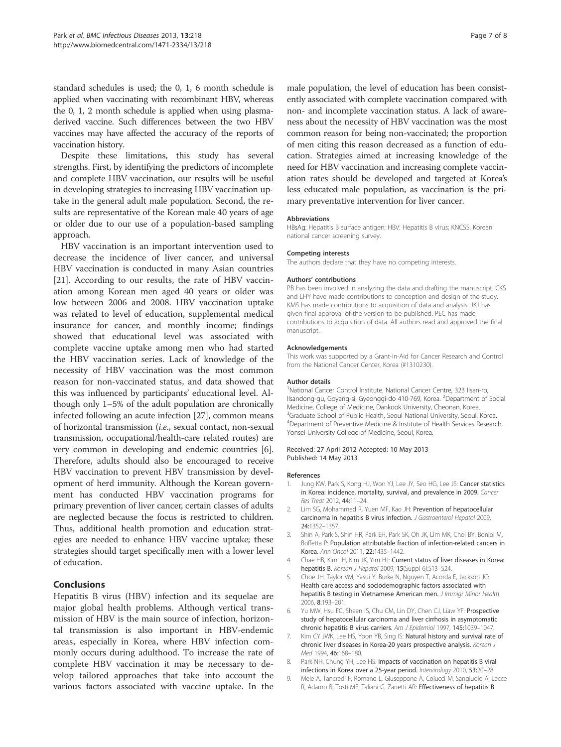standard schedules is used; the 0, 1, 6 month schedule is applied when vaccinating with recombinant HBV, whereas the 0, 1, 2 month schedule is applied when using plasmaderived vaccine. Such differences between the two HBV vaccines may have affected the accuracy of the reports of vaccination history.

Despite these limitations, this study has several strengths. First, by identifying the predictors of incomplete and complete HBV vaccination, our results will be useful in developing strategies to increasing HBV vaccination uptake in the general adult male population. Second, the results are representative of the Korean male 40 years of age or older due to our use of a population-based sampling approach.

HBV vaccination is an important intervention used to decrease the incidence of liver cancer, and universal HBV vaccination is conducted in many Asian countries [21]. According to our results, the rate of HBV vaccination among Korean men aged 40 years or older was low between 2006 and 2008. HBV vaccination uptake was related to level of education, supplemental medical insurance for cancer, and monthly income; findings showed that educational level was associated with complete vaccine uptake among men who had started the HBV vaccination series. Lack of knowledge of the necessity of HBV vaccination was the most common reason for non-vaccinated status, and data showed that this was influenced by participants' educational level. Although only 1–5% of the adult population are chronically infected following an acute infection [27], common means of horizontal transmission (i.e., sexual contact, non-sexual transmission, occupational/health-care related routes) are very common in developing and endemic countries [6]. Therefore, adults should also be encouraged to receive HBV vaccination to prevent HBV transmission by development of herd immunity. Although the Korean government has conducted HBV vaccination programs for primary prevention of liver cancer, certain classes of adults are neglected because the focus is restricted to children. Thus, additional health promotion and education strategies are needed to enhance HBV vaccine uptake; these strategies should target specifically men with a lower level of education.

## Conclusions

Hepatitis B virus (HBV) infection and its sequelae are major global health problems. Although vertical transmission of HBV is the main source of infection, horizontal transmission is also important in HBV-endemic areas, especially in Korea, where HBV infection commonly occurs during adulthood. To increase the rate of complete HBV vaccination it may be necessary to develop tailored approaches that take into account the various factors associated with vaccine uptake. In the

male population, the level of education has been consistently associated with complete vaccination compared with non- and incomplete vaccination status. A lack of awareness about the necessity of HBV vaccination was the most common reason for being non-vaccinated; the proportion of men citing this reason decreased as a function of education. Strategies aimed at increasing knowledge of the need for HBV vaccination and increasing complete vaccination rates should be developed and targeted at Korea's less educated male population, as vaccination is the primary preventative intervention for liver cancer.

#### Abbreviations

HBsAg: Hepatitis B surface antigen; HBV: Hepatitis B virus; KNCSS: Korean national cancer screening survey.

#### Competing interests

The authors declare that they have no competing interests.

#### Authors' contributions

PB has been involved in analyzing the data and drafting the manuscript. CKS and LHY have made contributions to conception and design of the study. KMS has made contributions to acquisition of data and analysis. JKJ has given final approval of the version to be published. PEC has made contributions to acquisition of data. All authors read and approved the final manuscript.

#### Acknowledgements

This work was supported by a Grant-in-Aid for Cancer Research and Control from the National Cancer Center, Korea (#1310230).

#### Author details

<sup>1</sup>National Cancer Control Institute, National Cancer Centre, 323 Ilsan-ro, Ilsandong-gu, Goyang-si, Gyeonggi-do 410-769, Korea. <sup>2</sup>Department of Social Medicine, College of Medicine, Dankook University, Cheonan, Korea. <sup>3</sup>Graduate School of Public Health, Seoul National University, Seoul, Korea. 4 Department of Preventive Medicine & Institute of Health Services Research, Yonsei University College of Medicine, Seoul, Korea.

#### Received: 27 April 2012 Accepted: 10 May 2013 Published: 14 May 2013

#### References

- 1. Jung KW, Park S, Kong HJ, Won YJ, Lee JY, Seo HG, Lee JS: Cancer statistics in Korea: incidence, mortality, survival, and prevalence in 2009. Cancer Res Treat 2012, 44:11–24.
- 2. Lim SG, Mohammed R, Yuen MF, Kao JH: Prevention of hepatocellular carcinoma in hepatitis B virus infection. J Gastroenterol Hepatol 2009, 24:1352–1357.
- 3. Shin A, Park S, Shin HR, Park EH, Park SK, Oh JK, Lim MK, Choi BY, Boniol M, Boffetta P: Population attributable fraction of infection-related cancers in Korea. Ann Oncol 2011, 22:1435–1442.
- 4. Chae HB, Kim JH, Kim JK, Yim HJ: Current status of liver diseases in Korea: hepatitis B. Korean J Hepatol 2009, 15(Suppl 6):S13–S24.
- 5. Choe JH, Taylor VM, Yasui Y, Burke N, Nguyen T, Acorda E, Jackson JC: Health care access and sociodemographic factors associated with hepatitis B testing in Vietnamese American men. J Immigr Minor Health 2006, 8:193–201.
- 6. Yu MW, Hsu FC, Sheen IS, Chu CM, Lin DY, Chen CJ, Liaw YF: Prospective study of hepatocellular carcinoma and liver cirrhosis in asymptomatic chronic hepatitis B virus carriers. Am J Epidemiol 1997, 145:1039–1047.
- 7. Kim CY JWK, Lee HS, Yoon YB, Sing IS: Natural history and survival rate of chronic liver diseases in Korea-20 years prospective analysis. Korean J Med 1994, 46:168–180.
- 8. Park NH, Chung YH, Lee HS: Impacts of vaccination on hepatitis B viral infections in Korea over a 25-year period. Intervirology 2010, 53:20–28.
- 9. Mele A, Tancredi F, Romano L, Giuseppone A, Colucci M, Sangiuolo A, Lecce R, Adamo B, Tosti ME, Taliani G, Zanetti AR: Effectiveness of hepatitis B